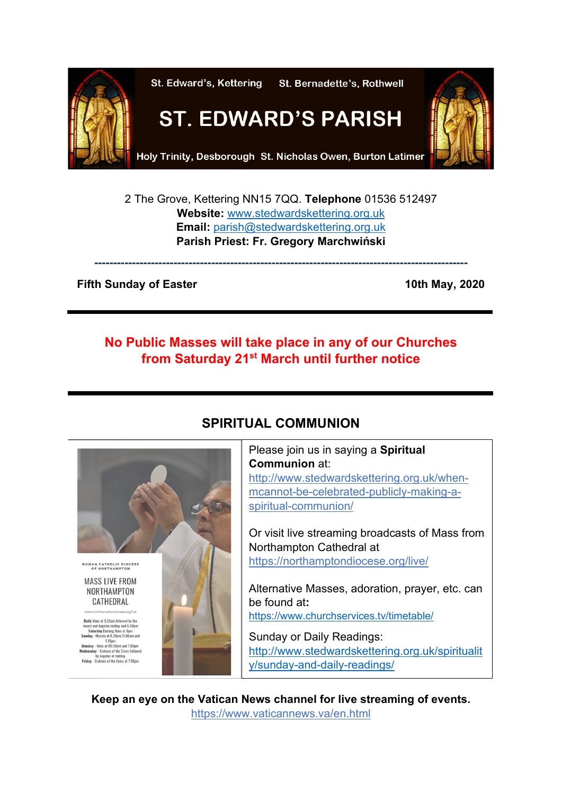

2 The Grove, Kettering NN15 7QQ. **Telephone** 01536 512497 **Website:** [www.stedwardskettering.org.uk](http://www.stedwardskettering.org.uk/) **Email:** [parish@stedwardskettering.org.uk](mailto:parish@stedwardskettering.org.uk) **Parish Priest: Fr. Gregory Marchwiński**

**---------------------------------------------------------------------------------------------------**

### **Fifth Sunday of Easter 10th May, 2020**

## **No Public Masses will take place in any of our Churches from Saturday 21st March until further notice**



# **SPIRITUAL COMMUNION**

Please join us in saying a **Spiritual Communion** at: [http://www.stedwardskettering.org.uk/when](http://www.stedwardskettering.org.uk/when-mass-cannot-be-celebrated-publicly-making-a-spiritual-communion/)[mcannot-be-celebrated-publicly-making-a](http://www.stedwardskettering.org.uk/when-mass-cannot-be-celebrated-publicly-making-a-spiritual-communion/)[spiritual-communion/](http://www.stedwardskettering.org.uk/when-mass-cannot-be-celebrated-publicly-making-a-spiritual-communion/)

Or visit live streaming broadcasts of Mass from Northampton Cathedral at <https://northamptondiocese.org/live/>

Alternative Masses, adoration, prayer, etc. can be found at**:**  <https://www.churchservices.tv/timetable/>

Sunday or Daily Readings: [http://www.stedwardskettering.org.uk/spiritualit](http://www.stedwardskettering.org.uk/spirituality/sunday-and-daily-readings/) [y/sunday-and-daily-readings/](http://www.stedwardskettering.org.uk/spirituality/sunday-and-daily-readings/)

**Keep an eye on the Vatican News channel for live streaming of events.**  <https://www.vaticannews.va/en.html>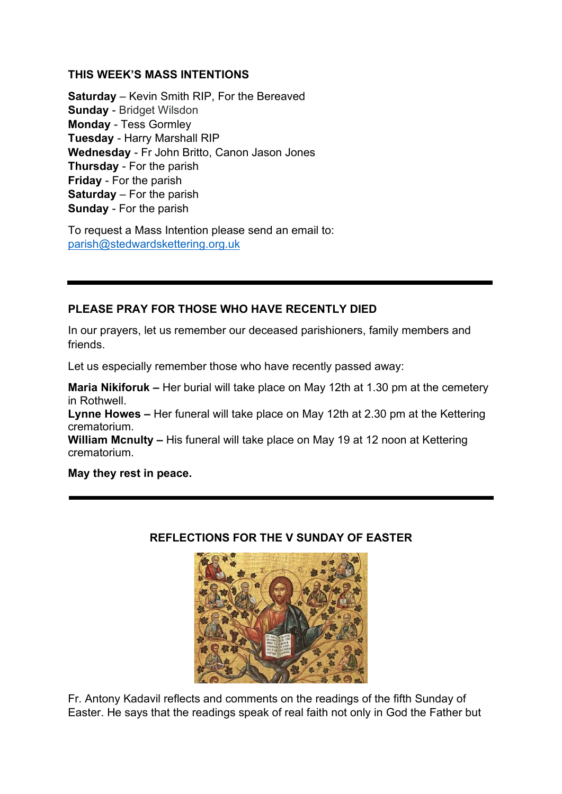### **THIS WEEK'S MASS INTENTIONS**

**Saturday** – Kevin Smith RIP, For the Bereaved **Sunday** - Bridget Wilsdon **Monday** - Tess Gormley **Tuesday** - Harry Marshall RIP **Wednesday** - Fr John Britto, Canon Jason Jones **Thursday** - For the parish **Friday** - For the parish **Saturday** – For the parish **Sunday** - For the parish

To request a Mass Intention please send an email to: [parish@stedwardskettering.org.uk](mailto:parish@stedwardskettering.org.uk)

### **PLEASE PRAY FOR THOSE WHO HAVE RECENTLY DIED**

In our prayers, let us remember our deceased parishioners, family members and friends.

Let us especially remember those who have recently passed away:

**Maria Nikiforuk –** Her burial will take place on May 12th at 1.30 pm at the cemetery in Rothwell.

**Lynne Howes –** Her funeral will take place on May 12th at 2.30 pm at the Kettering crematorium.

**William Mcnulty –** His funeral will take place on May 19 at 12 noon at Kettering crematorium.

**May they rest in peace.**

### **REFLECTIONS FOR THE V SUNDAY OF EASTER**



Fr. Antony Kadavil reflects and comments on the readings of the fifth Sunday of Easter. He says that the readings speak of real faith not only in God the Father but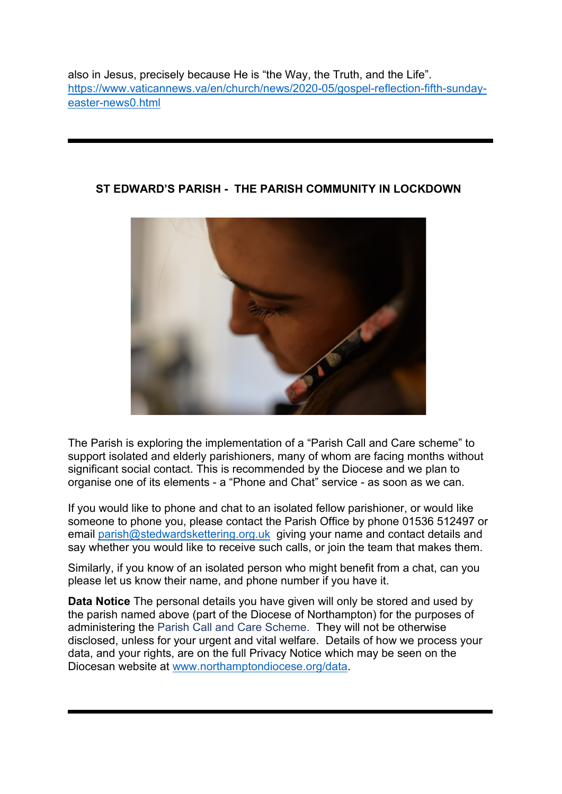also in Jesus, precisely because He is "the Way, the Truth, and the Life". [https://www.vaticannews.va/en/church/news/2020-05/gospel-reflection-fifth-sunday](https://www.vaticannews.va/en/church/news/2020-05/gospel-reflection-fifth-sunday-easter-news0.html)[easter-news0.html](https://www.vaticannews.va/en/church/news/2020-05/gospel-reflection-fifth-sunday-easter-news0.html)



### **ST EDWARD'S PARISH - THE PARISH COMMUNITY IN LOCKDOWN**

The Parish is exploring the implementation of a "Parish Call and Care scheme" to support isolated and elderly parishioners, many of whom are facing months without significant social contact. This is recommended by the Diocese and we plan to organise one of its elements - a "Phone and Chat" service - as soon as we can.

If you would like to phone and chat to an isolated fellow parishioner, or would like someone to phone you, please contact the Parish Office by phone 01536 512497 or email [parish@stedwardskettering.org.uk](mailto:parish@stedwardskettering.org.uk) giving your name and contact details and say whether you would like to receive such calls, or join the team that makes them.

Similarly, if you know of an isolated person who might benefit from a chat, can you please let us know their name, and phone number if you have it.

**Data Notice** The personal details you have given will only be stored and used by the parish named above (part of the Diocese of Northampton) for the purposes of administering the Parish Call and Care Scheme. They will not be otherwise disclosed, unless for your urgent and vital welfare. Details of how we process your data, and your rights, are on the full Privacy Notice which may be seen on the Diocesan website at [www.northamptondiocese.org/data.](http://www.northamptondiocese.org/data)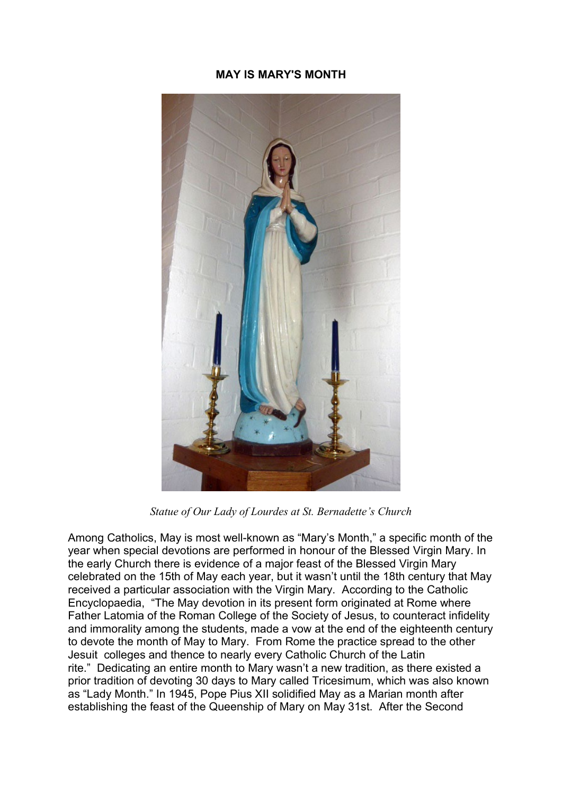### **MAY IS MARY'S MONTH**



*Statue of Our Lady of Lourdes at St. Bernadette's Church*

Among Catholics, May is most well-known as "Mary's Month," a specific month of the year when special devotions are performed in honour of the Blessed Virgin Mary. In the early Church there is evidence of a major feast of the Blessed Virgin Mary celebrated on the 15th of May each year, but it wasn't until the 18th century that May received a particular association with the Virgin Mary. According to the Catholic Encyclopaedia, "The May devotion in its present form originated at Rome where Father Latomia of the Roman College of the Society of Jesus, to counteract infidelity and immorality among the students, made a vow at the end of the eighteenth century to devote the month of May to Mary. From Rome the practice spread to the other Jesuit colleges and thence to nearly every Catholic Church of the Latin rite." Dedicating an entire month to Mary wasn't a new tradition, as there existed a prior tradition of devoting 30 days to Mary called Tricesimum, which was also known as "Lady Month." In 1945, Pope Pius XII solidified May as a Marian month after establishing the feast of the Queenship of Mary on May 31st. After the Second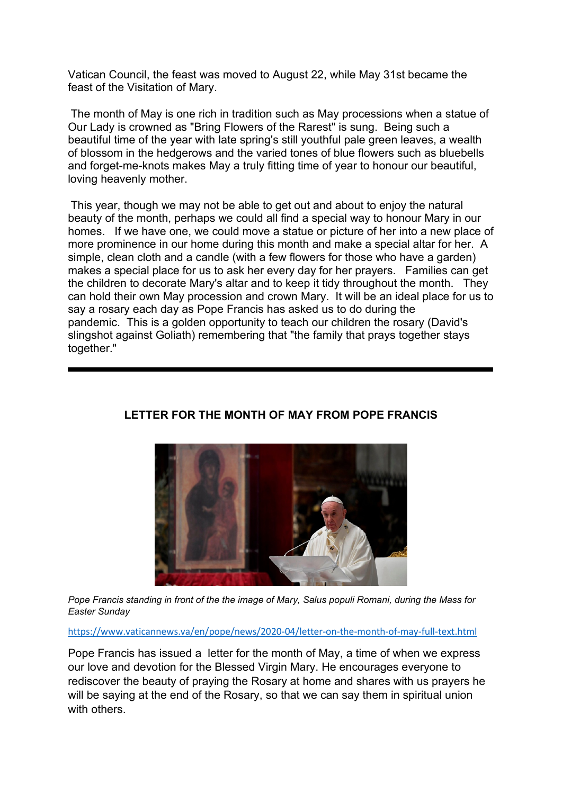Vatican Council, the feast was moved to August 22, while May 31st became the feast of the Visitation of Mary.

The month of May is one rich in tradition such as May processions when a statue of Our Lady is crowned as "Bring Flowers of the Rarest" is sung. Being such a beautiful time of the year with late spring's still youthful pale green leaves, a wealth of blossom in the hedgerows and the varied tones of blue flowers such as bluebells and forget-me-knots makes May a truly fitting time of year to honour our beautiful, loving heavenly mother.

This year, though we may not be able to get out and about to enjoy the natural beauty of the month, perhaps we could all find a special way to honour Mary in our homes. If we have one, we could move a statue or picture of her into a new place of more prominence in our home during this month and make a special altar for her. A simple, clean cloth and a candle (with a few flowers for those who have a garden) makes a special place for us to ask her every day for her prayers. Families can get the children to decorate Mary's altar and to keep it tidy throughout the month. They can hold their own May procession and crown Mary. It will be an ideal place for us to say a rosary each day as Pope Francis has asked us to do during the pandemic. This is a golden opportunity to teach our children the rosary (David's slingshot against Goliath) remembering that "the family that prays together stays together."



### **LETTER FOR THE MONTH OF MAY FROM POPE FRANCIS**

*Pope Francis standing in front of the the image of Mary, Salus populi Romani, during the Mass for Easter Sunday*

<https://www.vaticannews.va/en/pope/news/2020-04/letter-on-the-month-of-may-full-text.html>

Pope Francis has issued a letter for the month of May, a time of when we express our love and devotion for the Blessed Virgin Mary. He encourages everyone to rediscover the beauty of praying the Rosary at home and shares with us prayers he will be saying at the end of the Rosary, so that we can say them in spiritual union with others.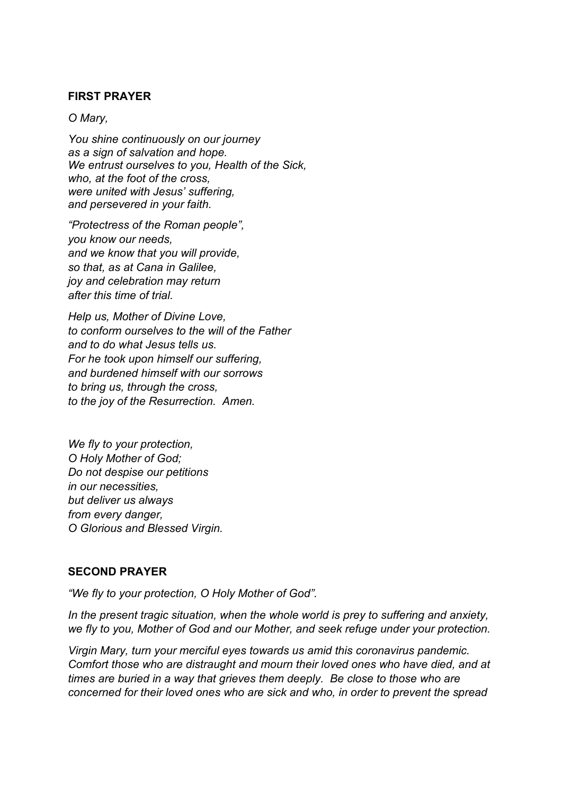#### **FIRST PRAYER**

#### *O Mary,*

*You shine continuously on our journey as a sign of salvation and hope. We entrust ourselves to you, Health of the Sick, who, at the foot of the cross, were united with Jesus' suffering, and persevered in your faith.*

*"Protectress of the Roman people", you know our needs, and we know that you will provide, so that, as at Cana in Galilee, joy and celebration may return after this time of trial.*

*Help us, Mother of Divine Love, to conform ourselves to the will of the Father and to do what Jesus tells us. For he took upon himself our suffering, and burdened himself with our sorrows to bring us, through the cross, to the joy of the Resurrection. Amen.*

*We fly to your protection, O Holy Mother of God; Do not despise our petitions in our necessities, but deliver us always from every danger, O Glorious and Blessed Virgin.*

#### **SECOND PRAYER**

*"We fly to your protection, O Holy Mother of God".* 

In the present tragic situation, when the whole world is prey to suffering and anxiety, *we fly to you, Mother of God and our Mother, and seek refuge under your protection.*

*Virgin Mary, turn your merciful eyes towards us amid this coronavirus pandemic. Comfort those who are distraught and mourn their loved ones who have died, and at times are buried in a way that grieves them deeply. Be close to those who are concerned for their loved ones who are sick and who, in order to prevent the spread*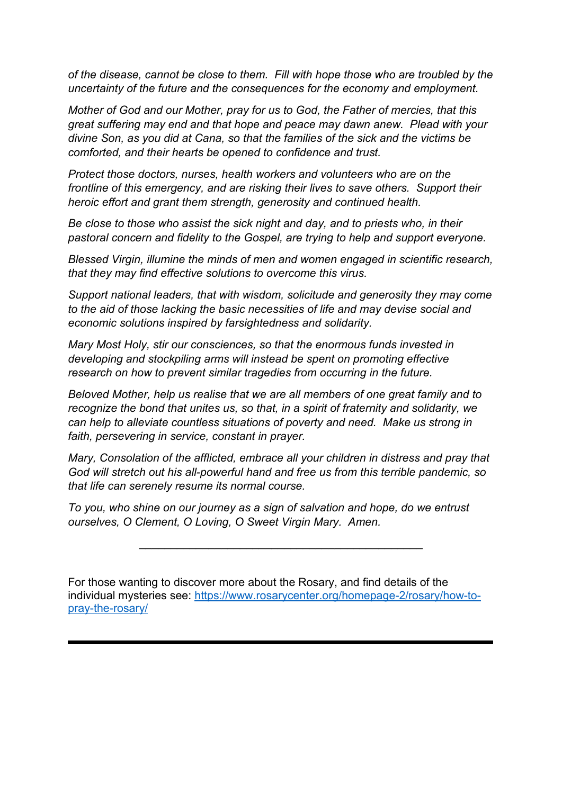*of the disease, cannot be close to them. Fill with hope those who are troubled by the uncertainty of the future and the consequences for the economy and employment.*

*Mother of God and our Mother, pray for us to God, the Father of mercies, that this great suffering may end and that hope and peace may dawn anew. Plead with your divine Son, as you did at Cana, so that the families of the sick and the victims be comforted, and their hearts be opened to confidence and trust.*

*Protect those doctors, nurses, health workers and volunteers who are on the frontline of this emergency, and are risking their lives to save others. Support their heroic effort and grant them strength, generosity and continued health.*

*Be close to those who assist the sick night and day, and to priests who, in their pastoral concern and fidelity to the Gospel, are trying to help and support everyone.* 

*Blessed Virgin, illumine the minds of men and women engaged in scientific research, that they may find effective solutions to overcome this virus.* 

*Support national leaders, that with wisdom, solicitude and generosity they may come to the aid of those lacking the basic necessities of life and may devise social and economic solutions inspired by farsightedness and solidarity.* 

*Mary Most Holy, stir our consciences, so that the enormous funds invested in developing and stockpiling arms will instead be spent on promoting effective research on how to prevent similar tragedies from occurring in the future.* 

*Beloved Mother, help us realise that we are all members of one great family and to recognize the bond that unites us, so that, in a spirit of fraternity and solidarity, we can help to alleviate countless situations of poverty and need. Make us strong in faith, persevering in service, constant in prayer.*

*Mary, Consolation of the afflicted, embrace all your children in distress and pray that God will stretch out his all-powerful hand and free us from this terrible pandemic, so that life can serenely resume its normal course.* 

\_\_\_\_\_\_\_\_\_\_\_\_\_\_\_\_\_\_\_\_\_\_\_\_\_\_\_\_\_\_\_\_\_\_\_\_\_\_\_\_\_\_\_\_\_

*To you, who shine on our journey as a sign of salvation and hope, do we entrust ourselves, O Clement, O Loving, O Sweet Virgin Mary. Amen.*

For those wanting to discover more about the Rosary, and find details of the individual mysteries see: [https://www.rosarycenter.org/homepage-2/rosary/how-to](https://www.rosarycenter.org/homepage-2/rosary/how-to-pray-the-rosary/)[pray-the-rosary/](https://www.rosarycenter.org/homepage-2/rosary/how-to-pray-the-rosary/)